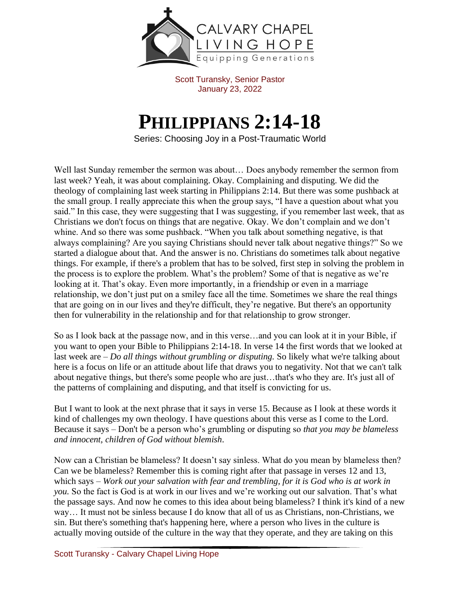

Scott Turansky, Senior Pastor January 23, 2022

## **PHILIPPIANS 2:14-18**

Series: Choosing Joy in a Post-Traumatic World

Well last Sunday remember the sermon was about… Does anybody remember the sermon from last week? Yeah, it was about complaining. Okay. Complaining and disputing. We did the theology of complaining last week starting in Philippians 2:14. But there was some pushback at the small group. I really appreciate this when the group says, "I have a question about what you said." In this case, they were suggesting that I was suggesting, if you remember last week, that as Christians we don't focus on things that are negative. Okay. We don't complain and we don't whine. And so there was some pushback. "When you talk about something negative, is that always complaining? Are you saying Christians should never talk about negative things?" So we started a dialogue about that. And the answer is no. Christians do sometimes talk about negative things. For example, if there's a problem that has to be solved, first step in solving the problem in the process is to explore the problem. What's the problem? Some of that is negative as we're looking at it. That's okay. Even more importantly, in a friendship or even in a marriage relationship, we don't just put on a smiley face all the time. Sometimes we share the real things that are going on in our lives and they're difficult, they're negative. But there's an opportunity then for vulnerability in the relationship and for that relationship to grow stronger.

So as I look back at the passage now, and in this verse…and you can look at it in your Bible, if you want to open your Bible to Philippians 2:14-18. In verse 14 the first words that we looked at last week are – *Do all things without grumbling or disputing.* So likely what we're talking about here is a focus on life or an attitude about life that draws you to negativity. Not that we can't talk about negative things, but there's some people who are just…that's who they are. It's just all of the patterns of complaining and disputing, and that itself is convicting for us.

But I want to look at the next phrase that it says in verse 15. Because as I look at these words it kind of challenges my own theology. I have questions about this verse as I come to the Lord. Because it says – Don't be a person who's grumbling or disputing so *that you may be blameless and innocent, children of God without blemish*.

Now can a Christian be blameless? It doesn't say sinless. What do you mean by blameless then? Can we be blameless? Remember this is coming right after that passage in verses 12 and 13, which says – *Work out your salvation with fear and trembling, for it is God who is at work in you.* So the fact is God is at work in our lives and we're working out our salvation. That's what the passage says. And now he comes to this idea about being blameless? I think it's kind of a new way… It must not be sinless because I do know that all of us as Christians, non-Christians, we sin. But there's something that's happening here, where a person who lives in the culture is actually moving outside of the culture in the way that they operate, and they are taking on this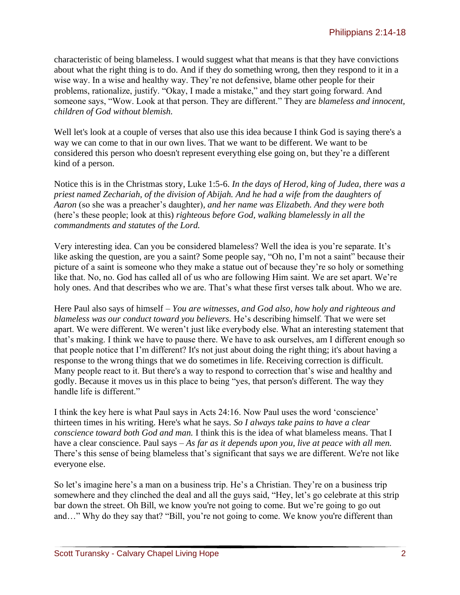characteristic of being blameless. I would suggest what that means is that they have convictions about what the right thing is to do. And if they do something wrong, then they respond to it in a wise way. In a wise and healthy way. They're not defensive, blame other people for their problems, rationalize, justify. "Okay, I made a mistake," and they start going forward. And someone says, "Wow. Look at that person. They are different." They are *blameless and innocent, children of God without blemish.* 

Well let's look at a couple of verses that also use this idea because I think God is saying there's a way we can come to that in our own lives. That we want to be different. We want to be considered this person who doesn't represent everything else going on, but they're a different kind of a person.

Notice this is in the Christmas story, Luke 1:5-6. *In the days of Herod, king of Judea, there was a priest named Zechariah, of the division of Abijah. And he had a wife from the daughters of Aaron* (so she was a preacher's daughter)*, and her name was Elizabeth. And they were both*  (here's these people; look at this) *righteous before God, walking blamelessly in all the commandments and statutes of the Lord.*

Very interesting idea. Can you be considered blameless? Well the idea is you're separate. It's like asking the question, are you a saint? Some people say, "Oh no, I'm not a saint" because their picture of a saint is someone who they make a statue out of because they're so holy or something like that. No, no. God has called all of us who are following Him saint. We are set apart. We're holy ones. And that describes who we are. That's what these first verses talk about. Who we are.

Here Paul also says of himself – *You are witnesses, and God also, how holy and righteous and blameless was our conduct toward you believers.* He's describing himself. That we were set apart. We were different. We weren't just like everybody else. What an interesting statement that that's making. I think we have to pause there. We have to ask ourselves, am I different enough so that people notice that I'm different? It's not just about doing the right thing; it's about having a response to the wrong things that we do sometimes in life. Receiving correction is difficult. Many people react to it. But there's a way to respond to correction that's wise and healthy and godly. Because it moves us in this place to being "yes, that person's different. The way they handle life is different."

I think the key here is what Paul says in Acts 24:16. Now Paul uses the word 'conscience' thirteen times in his writing. Here's what he says. *So I always take pains to have a clear conscience toward both God and man.* I think this is the idea of what blameless means. That I have a clear conscience. Paul says – *As far as it depends upon you, live at peace with all men.* There's this sense of being blameless that's significant that says we are different. We're not like everyone else.

So let's imagine here's a man on a business trip. He's a Christian. They're on a business trip somewhere and they clinched the deal and all the guys said, "Hey, let's go celebrate at this strip bar down the street. Oh Bill, we know you're not going to come. But we're going to go out and…" Why do they say that? "Bill, you're not going to come. We know you're different than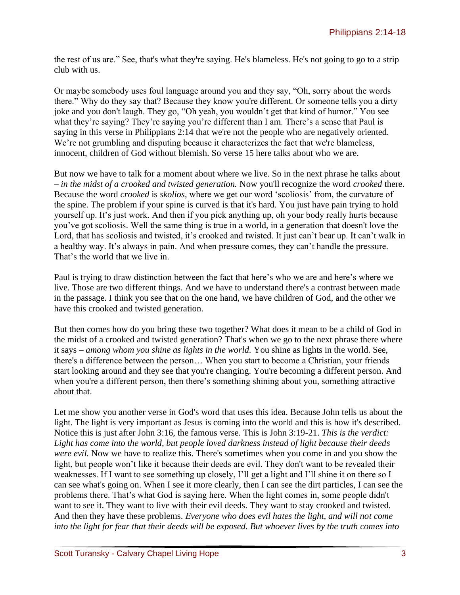the rest of us are." See, that's what they're saying. He's blameless. He's not going to go to a strip club with us.

Or maybe somebody uses foul language around you and they say, "Oh, sorry about the words there." Why do they say that? Because they know you're different. Or someone tells you a dirty joke and you don't laugh. They go, "Oh yeah, you wouldn't get that kind of humor." You see what they're saying? They're saying you're different than I am. There's a sense that Paul is saying in this verse in Philippians 2:14 that we're not the people who are negatively oriented. We're not grumbling and disputing because it characterizes the fact that we're blameless, innocent, children of God without blemish. So verse 15 here talks about who we are.

But now we have to talk for a moment about where we live. So in the next phrase he talks about – *in the midst of a crooked and twisted generation.* Now you'll recognize the word *crooked* there. Because the word *crooked* is *skolios,* where we get our word 'scoliosis' from, the curvature of the spine. The problem if your spine is curved is that it's hard. You just have pain trying to hold yourself up. It's just work. And then if you pick anything up, oh your body really hurts because you've got scoliosis. Well the same thing is true in a world, in a generation that doesn't love the Lord, that has scoliosis and twisted, it's crooked and twisted. It just can't bear up. It can't walk in a healthy way. It's always in pain. And when pressure comes, they can't handle the pressure. That's the world that we live in.

Paul is trying to draw distinction between the fact that here's who we are and here's where we live. Those are two different things. And we have to understand there's a contrast between made in the passage. I think you see that on the one hand, we have children of God, and the other we have this crooked and twisted generation.

But then comes how do you bring these two together? What does it mean to be a child of God in the midst of a crooked and twisted generation? That's when we go to the next phrase there where it says – *among whom you shine as lights in the world.* You shine as lights in the world. See, there's a difference between the person… When you start to become a Christian, your friends start looking around and they see that you're changing. You're becoming a different person. And when you're a different person, then there's something shining about you, something attractive about that.

Let me show you another verse in God's word that uses this idea. Because John tells us about the light. The light is very important as Jesus is coming into the world and this is how it's described. Notice this is just after John 3:16, the famous verse. This is John 3:19-21. *This is the verdict: Light has come into the world, but people loved darkness instead of light because their deeds were evil.* Now we have to realize this. There's sometimes when you come in and you show the light, but people won't like it because their deeds are evil. They don't want to be revealed their weaknesses. If I want to see something up closely, I'll get a light and I'll shine it on there so I can see what's going on. When I see it more clearly, then I can see the dirt particles, I can see the problems there. That's what God is saying here. When the light comes in, some people didn't want to see it. They want to live with their evil deeds. They want to stay crooked and twisted. And then they have these problems. *Everyone who does evil hates the light, and will not come into the light for fear that their deeds will be exposed. But whoever lives by the truth comes into*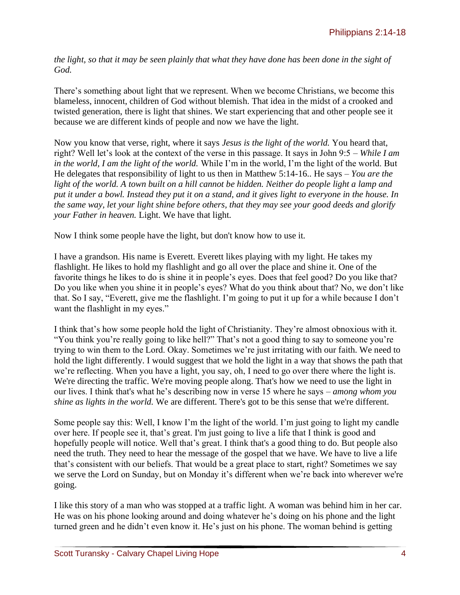*the light, so that it may be seen plainly that what they have done has been done in the sight of God.*

There's something about light that we represent. When we become Christians, we become this blameless, innocent, children of God without blemish. That idea in the midst of a crooked and twisted generation, there is light that shines. We start experiencing that and other people see it because we are different kinds of people and now we have the light.

Now you know that verse, right, where it says *Jesus is the light of the world.* You heard that, right? Well let's look at the context of the verse in this passage. It says in John 9:5 – *While I am in the world, I am the light of the world.* While I'm in the world, I'm the light of the world. But He delegates that responsibility of light to us then in Matthew 5:14-16.. He says – *You are the light of the world. A town built on a hill cannot be hidden. Neither do people light a lamp and put it under a bowl. Instead they put it on a stand, and it gives light to everyone in the house. In the same way, let your light shine before others, that they may see your good deeds and glorify your Father in heaven.* Light. We have that light.

Now I think some people have the light, but don't know how to use it.

I have a grandson. His name is Everett. Everett likes playing with my light. He takes my flashlight. He likes to hold my flashlight and go all over the place and shine it. One of the favorite things he likes to do is shine it in people's eyes. Does that feel good? Do you like that? Do you like when you shine it in people's eyes? What do you think about that? No, we don't like that. So I say, "Everett, give me the flashlight. I'm going to put it up for a while because I don't want the flashlight in my eyes."

I think that's how some people hold the light of Christianity. They're almost obnoxious with it. "You think you're really going to like hell?" That's not a good thing to say to someone you're trying to win them to the Lord. Okay. Sometimes we're just irritating with our faith. We need to hold the light differently. I would suggest that we hold the light in a way that shows the path that we're reflecting. When you have a light, you say, oh, I need to go over there where the light is. We're directing the traffic. We're moving people along. That's how we need to use the light in our lives. I think that's what he's describing now in verse 15 where he says – *among whom you shine as lights in the world.* We are different. There's got to be this sense that we're different.

Some people say this: Well, I know I'm the light of the world. I'm just going to light my candle over here. If people see it, that's great. I'm just going to live a life that I think is good and hopefully people will notice. Well that's great. I think that's a good thing to do. But people also need the truth. They need to hear the message of the gospel that we have. We have to live a life that's consistent with our beliefs. That would be a great place to start, right? Sometimes we say we serve the Lord on Sunday, but on Monday it's different when we're back into wherever we're going.

I like this story of a man who was stopped at a traffic light. A woman was behind him in her car. He was on his phone looking around and doing whatever he's doing on his phone and the light turned green and he didn't even know it. He's just on his phone. The woman behind is getting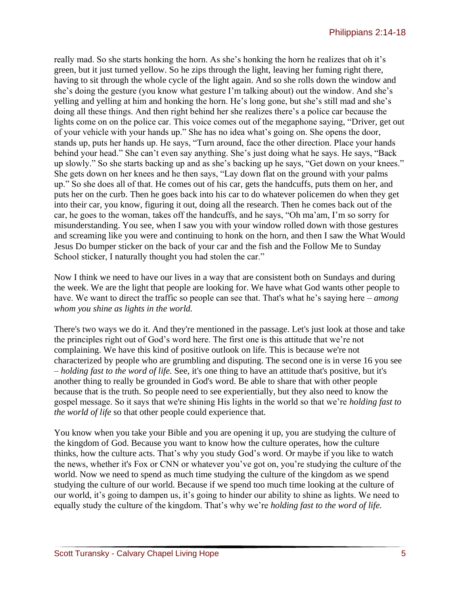really mad. So she starts honking the horn. As she's honking the horn he realizes that oh it's green, but it just turned yellow. So he zips through the light, leaving her fuming right there, having to sit through the whole cycle of the light again. And so she rolls down the window and she's doing the gesture (you know what gesture I'm talking about) out the window. And she's yelling and yelling at him and honking the horn. He's long gone, but she's still mad and she's doing all these things. And then right behind her she realizes there's a police car because the lights come on on the police car. This voice comes out of the megaphone saying, "Driver, get out of your vehicle with your hands up." She has no idea what's going on. She opens the door, stands up, puts her hands up. He says, "Turn around, face the other direction. Place your hands behind your head." She can't even say anything. She's just doing what he says. He says, "Back up slowly." So she starts backing up and as she's backing up he says, "Get down on your knees." She gets down on her knees and he then says, "Lay down flat on the ground with your palms up." So she does all of that. He comes out of his car, gets the handcuffs, puts them on her, and puts her on the curb. Then he goes back into his car to do whatever policemen do when they get into their car, you know, figuring it out, doing all the research. Then he comes back out of the car, he goes to the woman, takes off the handcuffs, and he says, "Oh ma'am, I'm so sorry for misunderstanding. You see, when I saw you with your window rolled down with those gestures and screaming like you were and continuing to honk on the horn, and then I saw the What Would Jesus Do bumper sticker on the back of your car and the fish and the Follow Me to Sunday School sticker, I naturally thought you had stolen the car."

Now I think we need to have our lives in a way that are consistent both on Sundays and during the week. We are the light that people are looking for. We have what God wants other people to have. We want to direct the traffic so people can see that. That's what he's saying here – *among whom you shine as lights in the world.*

There's two ways we do it. And they're mentioned in the passage. Let's just look at those and take the principles right out of God's word here. The first one is this attitude that we're not complaining. We have this kind of positive outlook on life. This is because we're not characterized by people who are grumbling and disputing. The second one is in verse 16 you see – *holding fast to the word of life.* See, it's one thing to have an attitude that's positive, but it's another thing to really be grounded in God's word. Be able to share that with other people because that is the truth. So people need to see experientially, but they also need to know the gospel message. So it says that we're shining His lights in the world so that we're *holding fast to the world of life* so that other people could experience that.

You know when you take your Bible and you are opening it up, you are studying the culture of the kingdom of God. Because you want to know how the culture operates, how the culture thinks, how the culture acts. That's why you study God's word. Or maybe if you like to watch the news, whether it's Fox or CNN or whatever you've got on, you're studying the culture of the world. Now we need to spend as much time studying the culture of the kingdom as we spend studying the culture of our world. Because if we spend too much time looking at the culture of our world, it's going to dampen us, it's going to hinder our ability to shine as lights. We need to equally study the culture of the kingdom. That's why we're *holding fast to the word of life.*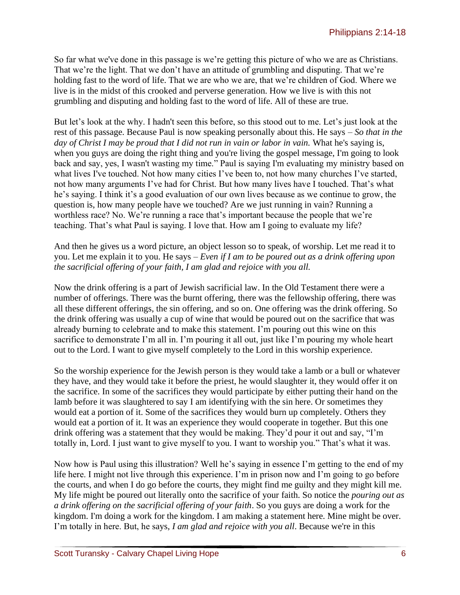So far what we've done in this passage is we're getting this picture of who we are as Christians. That we're the light. That we don't have an attitude of grumbling and disputing. That we're holding fast to the word of life. That we are who we are, that we're children of God. Where we live is in the midst of this crooked and perverse generation. How we live is with this not grumbling and disputing and holding fast to the word of life. All of these are true.

But let's look at the why. I hadn't seen this before, so this stood out to me. Let's just look at the rest of this passage. Because Paul is now speaking personally about this. He says – *So that in the day of Christ I may be proud that I did not run in vain or labor in vain.* What he's saying is, when you guys are doing the right thing and you're living the gospel message, I'm going to look back and say, yes, I wasn't wasting my time." Paul is saying I'm evaluating my ministry based on what lives I've touched. Not how many cities I've been to, not how many churches I've started, not how many arguments I've had for Christ. But how many lives have I touched. That's what he's saying. I think it's a good evaluation of our own lives because as we continue to grow, the question is, how many people have we touched? Are we just running in vain? Running a worthless race? No. We're running a race that's important because the people that we're teaching. That's what Paul is saying. I love that. How am I going to evaluate my life?

And then he gives us a word picture, an object lesson so to speak, of worship. Let me read it to you. Let me explain it to you. He says – *Even if I am to be poured out as a drink offering upon the sacrificial offering of your faith, I am glad and rejoice with you all.* 

Now the drink offering is a part of Jewish sacrificial law. In the Old Testament there were a number of offerings. There was the burnt offering, there was the fellowship offering, there was all these different offerings, the sin offering, and so on. One offering was the drink offering. So the drink offering was usually a cup of wine that would be poured out on the sacrifice that was already burning to celebrate and to make this statement. I'm pouring out this wine on this sacrifice to demonstrate I'm all in. I'm pouring it all out, just like I'm pouring my whole heart out to the Lord. I want to give myself completely to the Lord in this worship experience.

So the worship experience for the Jewish person is they would take a lamb or a bull or whatever they have, and they would take it before the priest, he would slaughter it, they would offer it on the sacrifice. In some of the sacrifices they would participate by either putting their hand on the lamb before it was slaughtered to say I am identifying with the sin here. Or sometimes they would eat a portion of it. Some of the sacrifices they would burn up completely. Others they would eat a portion of it. It was an experience they would cooperate in together. But this one drink offering was a statement that they would be making. They'd pour it out and say, "I'm totally in, Lord. I just want to give myself to you. I want to worship you." That's what it was.

Now how is Paul using this illustration? Well he's saying in essence I'm getting to the end of my life here. I might not live through this experience. I'm in prison now and I'm going to go before the courts, and when I do go before the courts, they might find me guilty and they might kill me. My life might be poured out literally onto the sacrifice of your faith. So notice the *pouring out as a drink offering on the sacrificial offering of your faith*. So you guys are doing a work for the kingdom. I'm doing a work for the kingdom. I am making a statement here. Mine might be over. I'm totally in here. But, he says, *I am glad and rejoice with you all*. Because we're in this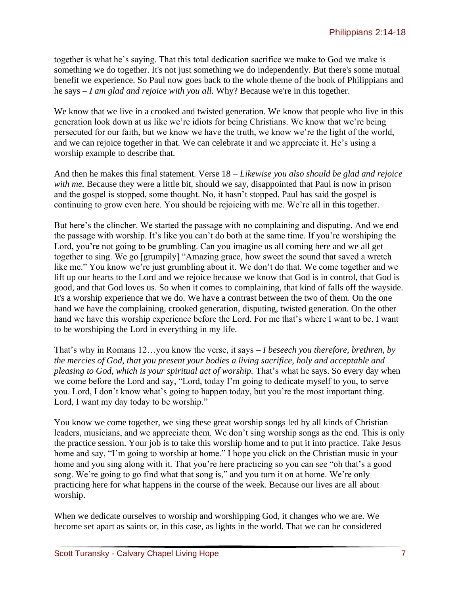together is what he's saying. That this total dedication sacrifice we make to God we make is something we do together. It's not just something we do independently. But there's some mutual benefit we experience. So Paul now goes back to the whole theme of the book of Philippians and he says – *I am glad and rejoice with you all.* Why? Because we're in this together.

We know that we live in a crooked and twisted generation. We know that people who live in this generation look down at us like we're idiots for being Christians. We know that we're being persecuted for our faith, but we know we have the truth, we know we're the light of the world, and we can rejoice together in that. We can celebrate it and we appreciate it. He's using a worship example to describe that.

And then he makes this final statement. Verse 18 – *Likewise you also should be glad and rejoice*  with me. Because they were a little bit, should we say, disappointed that Paul is now in prison and the gospel is stopped, some thought. No, it hasn't stopped. Paul has said the gospel is continuing to grow even here. You should be rejoicing with me. We're all in this together.

But here's the clincher. We started the passage with no complaining and disputing. And we end the passage with worship. It's like you can't do both at the same time. If you're worshiping the Lord, you're not going to be grumbling. Can you imagine us all coming here and we all get together to sing. We go [grumpily] "Amazing grace, how sweet the sound that saved a wretch like me." You know we're just grumbling about it. We don't do that. We come together and we lift up our hearts to the Lord and we rejoice because we know that God is in control, that God is good, and that God loves us. So when it comes to complaining, that kind of falls off the wayside. It's a worship experience that we do. We have a contrast between the two of them. On the one hand we have the complaining, crooked generation, disputing, twisted generation. On the other hand we have this worship experience before the Lord. For me that's where I want to be. I want to be worshiping the Lord in everything in my life.

That's why in Romans 12…you know the verse, it says – *I beseech you therefore, brethren, by the mercies of God, that you present your bodies a living sacrifice, holy and acceptable and pleasing to God, which is your spiritual act of worship.* That's what he says. So every day when we come before the Lord and say, "Lord, today I'm going to dedicate myself to you, to serve you. Lord, I don't know what's going to happen today, but you're the most important thing. Lord, I want my day today to be worship."

You know we come together, we sing these great worship songs led by all kinds of Christian leaders, musicians, and we appreciate them. We don't sing worship songs as the end. This is only the practice session. Your job is to take this worship home and to put it into practice. Take Jesus home and say, "I'm going to worship at home." I hope you click on the Christian music in your home and you sing along with it. That you're here practicing so you can see "oh that's a good song. We're going to go find what that song is," and you turn it on at home. We're only practicing here for what happens in the course of the week. Because our lives are all about worship.

When we dedicate ourselves to worship and worshipping God, it changes who we are. We become set apart as saints or, in this case, as lights in the world. That we can be considered